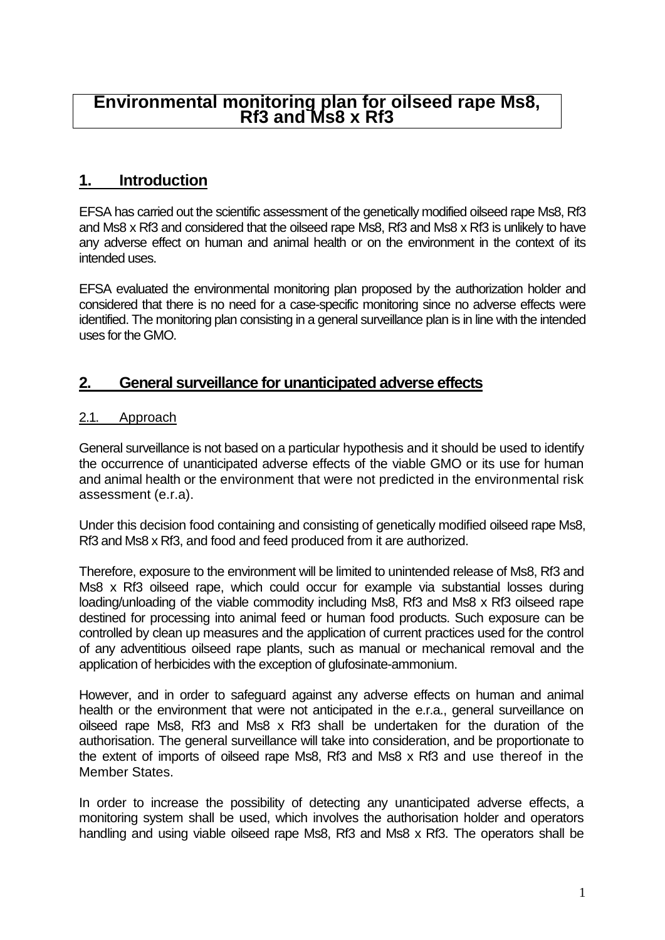## **Environmental monitoring plan for oilseed rape Ms8, Rf3 and Ms8 x Rf3**

## **1. Introduction**

EFSA has carried out the scientific assessment of the genetically modified oilseed rape Ms8, Rf3 and Ms8 x Rf3 and considered that the oilseed rape Ms8, Rf3 and Ms8 x Rf3 is unlikely to have any adverse effect on human and animal health or on the environment in the context of its intended uses.

EFSA evaluated the environmental monitoring plan proposed by the authorization holder and considered that there is no need for a case-specific monitoring since no adverse effects were identified. The monitoring plan consisting in a general surveillance plan is in line with the intended uses for the GMO.

### **2. General surveillance for unanticipated adverse effects**

#### 2.1. Approach

General surveillance is not based on a particular hypothesis and it should be used to identify the occurrence of unanticipated adverse effects of the viable GMO or its use for human and animal health or the environment that were not predicted in the environmental risk assessment (e.r.a).

Under this decision food containing and consisting of genetically modified oilseed rape Ms8, Rf3 and Ms8 x Rf3, and food and feed produced from it are authorized.

Therefore, exposure to the environment will be limited to unintended release of Ms8, Rf3 and Ms8 x Rf3 oilseed rape, which could occur for example via substantial losses during loading/unloading of the viable commodity including Ms8, Rf3 and Ms8 x Rf3 oilseed rape destined for processing into animal feed or human food products. Such exposure can be controlled by clean up measures and the application of current practices used for the control of any adventitious oilseed rape plants, such as manual or mechanical removal and the application of herbicides with the exception of glufosinate-ammonium.

However, and in order to safeguard against any adverse effects on human and animal health or the environment that were not anticipated in the e.r.a., general surveillance on oilseed rape Ms8, Rf3 and Ms8 x Rf3 shall be undertaken for the duration of the authorisation. The general surveillance will take into consideration, and be proportionate to the extent of imports of oilseed rape Ms8, Rf3 and Ms8 x Rf3 and use thereof in the Member States.

In order to increase the possibility of detecting any unanticipated adverse effects, a monitoring system shall be used, which involves the authorisation holder and operators handling and using viable oilseed rape Ms8, Rf3 and Ms8 x Rf3. The operators shall be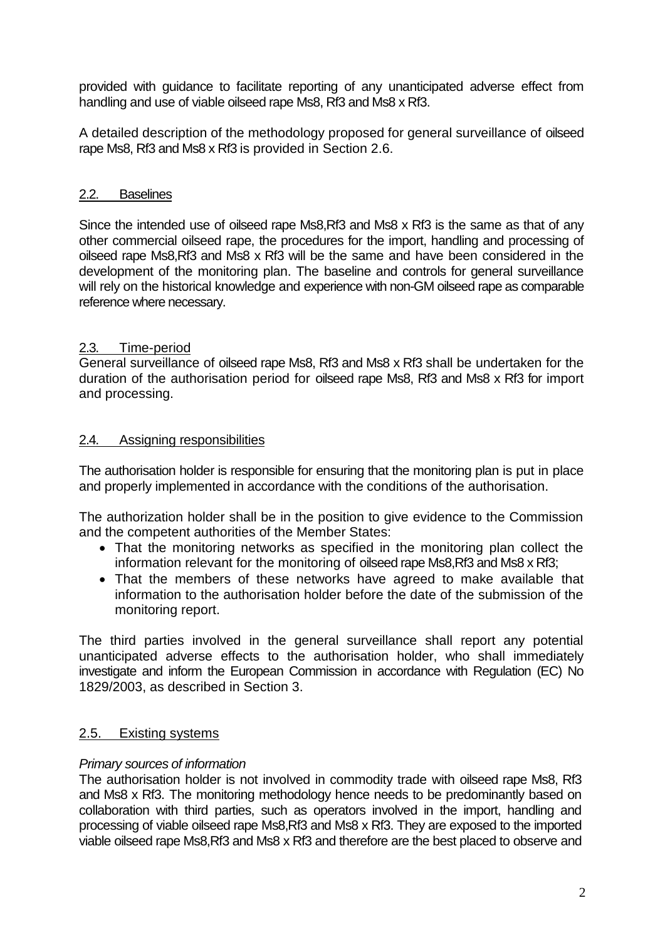provided with guidance to facilitate reporting of any unanticipated adverse effect from handling and use of viable oilseed rape Ms8, Rf3 and Ms8 x Rf3.

A detailed description of the methodology proposed for general surveillance of oilseed rape Ms8, Rf3 and Ms8 x Rf3 is provided in Section 2.6.

#### 2.2. Baselines

Since the intended use of oilseed rape Ms8, Rf3 and Ms8 x Rf3 is the same as that of any other commercial oilseed rape, the procedures for the import, handling and processing of oilseed rape Ms8,Rf3 and Ms8 x Rf3 will be the same and have been considered in the development of the monitoring plan. The baseline and controls for general surveillance will rely on the historical knowledge and experience with non-GM oilseed rape as comparable reference where necessary.

#### 2.3. Time-period

General surveillance of oilseed rape Ms8, Rf3 and Ms8 x Rf3 shall be undertaken for the duration of the authorisation period for oilseed rape Ms8, Rf3 and Ms8 x Rf3 for import and processing.

#### 2.4. Assigning responsibilities

The authorisation holder is responsible for ensuring that the monitoring plan is put in place and properly implemented in accordance with the conditions of the authorisation.

The authorization holder shall be in the position to give evidence to the Commission and the competent authorities of the Member States:

- That the monitoring networks as specified in the monitoring plan collect the information relevant for the monitoring of oilseed rape Ms8,Rf3 and Ms8 x Rf3;
- That the members of these networks have agreed to make available that information to the authorisation holder before the date of the submission of the monitoring report.

The third parties involved in the general surveillance shall report any potential unanticipated adverse effects to the authorisation holder, who shall immediately investigate and inform the European Commission in accordance with Regulation (EC) No 1829/2003, as described in Section 3.

#### 2.5. Existing systems

#### *Primary sources of information*

The authorisation holder is not involved in commodity trade with oilseed rape Ms8, Rf3 and Ms8 x Rf3. The monitoring methodology hence needs to be predominantly based on collaboration with third parties, such as operators involved in the import, handling and processing of viable oilseed rape Ms8,Rf3 and Ms8 x Rf3. They are exposed to the imported viable oilseed rape Ms8,Rf3 and Ms8 x Rf3 and therefore are the best placed to observe and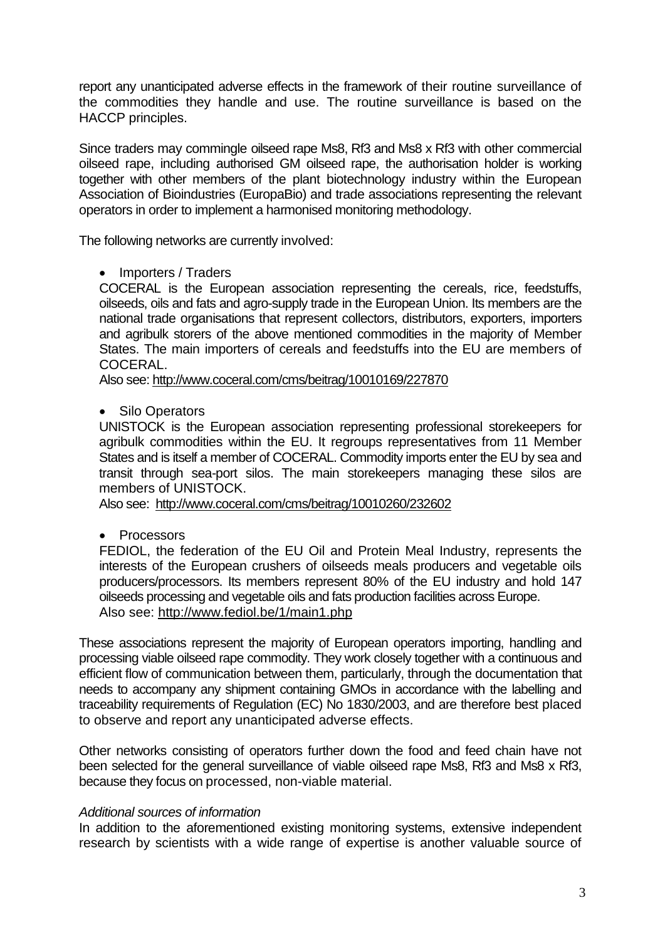report any unanticipated adverse effects in the framework of their routine surveillance of the commodities they handle and use. The routine surveillance is based on the HACCP principles.

Since traders may commingle oilseed rape Ms8, Rf3 and Ms8 x Rf3 with other commercial oilseed rape, including authorised GM oilseed rape, the authorisation holder is working together with other members of the plant biotechnology industry within the European Association of Bioindustries (EuropaBio) and trade associations representing the relevant operators in order to implement a harmonised monitoring methodology.

The following networks are currently involved:

• Importers / Traders

COCERAL is the European association representing the cereals, rice, feedstuffs, oilseeds, oils and fats and agro-supply trade in the European Union. Its members are the national trade organisations that represent collectors, distributors, exporters, importers and agribulk storers of the above mentioned commodities in the majority of Member States. The main importers of cereals and feedstuffs into the EU are members of COCERAL.

Also see[: http://www.coceral.com/cms/beitrag/10010169/227870](http://www.coceral.com/cms/beitrag/10010169/227870)

• Silo Operators

UNISTOCK is the European association representing professional storekeepers for agribulk commodities within the EU. It regroups representatives from 11 Member States and is itself a member of COCERAL. Commodity imports enter the EU by sea and transit through sea-port silos. The main storekeepers managing these silos are members of UNISTOCK.

Also see: <http://www.coceral.com/cms/beitrag/10010260/232602>

• Processors

FEDIOL, the federation of the EU Oil and Protein Meal Industry, represents the interests of the European crushers of oilseeds meals producers and vegetable oils producers/processors. Its members represent 80% of the EU industry and hold 147 oilseeds processing and vegetable oils and fats production facilities across Europe. Also see:<http://www.fediol.be/1/main1.php>

These associations represent the majority of European operators importing, handling and processing viable oilseed rape commodity. They work closely together with a continuous and efficient flow of communication between them, particularly, through the documentation that needs to accompany any shipment containing GMOs in accordance with the labelling and traceability requirements of Regulation (EC) No 1830/2003, and are therefore best placed to observe and report any unanticipated adverse effects.

Other networks consisting of operators further down the food and feed chain have not been selected for the general surveillance of viable oilseed rape Ms8, Rf3 and Ms8 x Rf3, because they focus on processed, non-viable material.

#### *Additional sources of information*

In addition to the aforementioned existing monitoring systems, extensive independent research by scientists with a wide range of expertise is another valuable source of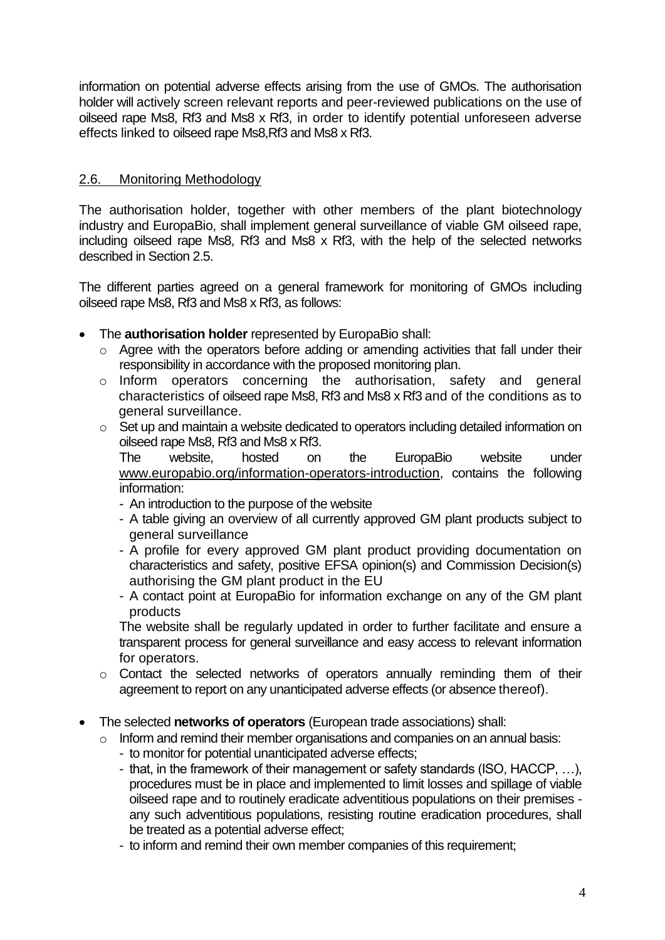information on potential adverse effects arising from the use of GMOs. The authorisation holder will actively screen relevant reports and peer-reviewed publications on the use of oilseed rape Ms8, Rf3 and Ms8 x Rf3, in order to identify potential unforeseen adverse effects linked to oilseed rape Ms8,Rf3 and Ms8 x Rf3.

#### 2.6. Monitoring Methodology

The authorisation holder, together with other members of the plant biotechnology industry and EuropaBio, shall implement general surveillance of viable GM oilseed rape, including oilseed rape Ms8, Rf3 and Ms8 x Rf3, with the help of the selected networks described in Section 2.5.

The different parties agreed on a general framework for monitoring of GMOs including oilseed rape Ms8, Rf3 and Ms8 x Rf3, as follows:

- The **authorisation holder** represented by EuropaBio shall:
	- o Agree with the operators before adding or amending activities that fall under their responsibility in accordance with the proposed monitoring plan.
	- o Inform operators concerning the authorisation, safety and general characteristics of oilseed rape Ms8, Rf3 and Ms8 x Rf3 and of the conditions as to general surveillance.
	- o Set up and maintain a website dedicated to operators including detailed information on oilseed rape Ms8, Rf3 and Ms8 x Rf3.

The website, hosted on the EuropaBio website under [www.europabio.org/information-operators-introduction,](http://www.europabio.org/information-operators-introduction) contains the following information:

- An introduction to the purpose of the website
- A table giving an overview of all currently approved GM plant products subject to general surveillance
- A profile for every approved GM plant product providing documentation on characteristics and safety, positive EFSA opinion(s) and Commission Decision(s) authorising the GM plant product in the EU
- A contact point at EuropaBio for information exchange on any of the GM plant products

The website shall be regularly updated in order to further facilitate and ensure a transparent process for general surveillance and easy access to relevant information for operators.

- o Contact the selected networks of operators annually reminding them of their agreement to report on any unanticipated adverse effects (or absence thereof).
- The selected **networks of operators** (European trade associations) shall:
	- o Inform and remind their member organisations and companies on an annual basis:
		- to monitor for potential unanticipated adverse effects;
		- that, in the framework of their management or safety standards (ISO, HACCP, …), procedures must be in place and implemented to limit losses and spillage of viable oilseed rape and to routinely eradicate adventitious populations on their premises any such adventitious populations, resisting routine eradication procedures, shall be treated as a potential adverse effect;
		- to inform and remind their own member companies of this requirement;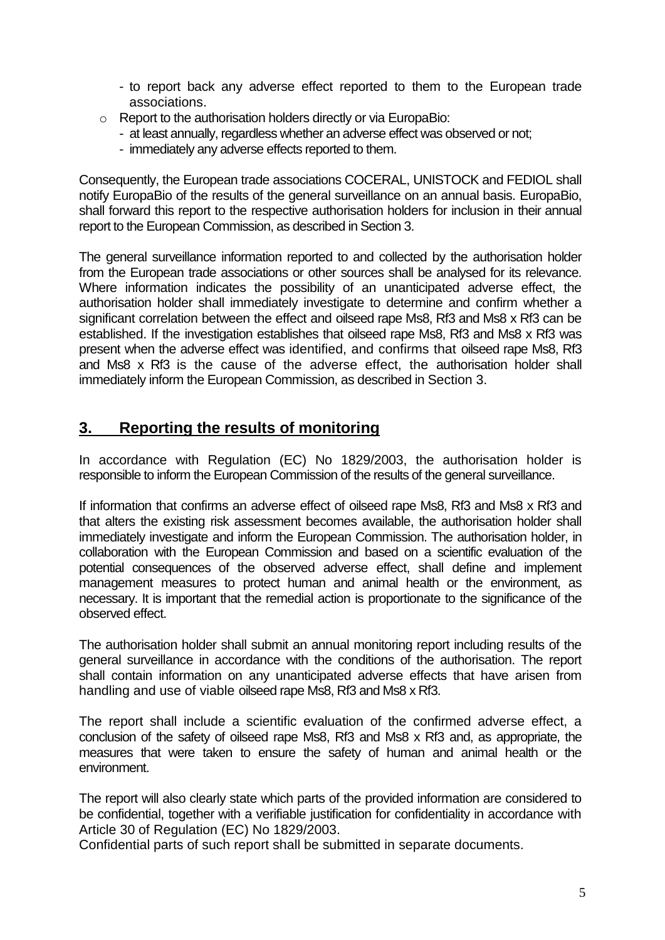- to report back any adverse effect reported to them to the European trade associations.
- o Report to the authorisation holders directly or via EuropaBio:
	- at least annually, regardless whether an adverse effect was observed or not;
	- immediately any adverse effects reported to them.

Consequently, the European trade associations COCERAL, UNISTOCK and FEDIOL shall notify EuropaBio of the results of the general surveillance on an annual basis. EuropaBio, shall forward this report to the respective authorisation holders for inclusion in their annual report to the European Commission, as described in Section 3.

The general surveillance information reported to and collected by the authorisation holder from the European trade associations or other sources shall be analysed for its relevance. Where information indicates the possibility of an unanticipated adverse effect, the authorisation holder shall immediately investigate to determine and confirm whether a significant correlation between the effect and oilseed rape Ms8, Rf3 and Ms8 x Rf3 can be established. If the investigation establishes that oilseed rape Ms8, Rf3 and Ms8 x Rf3 was present when the adverse effect was identified, and confirms that oilseed rape Ms8, Rf3 and Ms8 x Rf3 is the cause of the adverse effect, the authorisation holder shall immediately inform the European Commission, as described in Section 3.

## **3. Reporting the results of monitoring**

In accordance with Regulation (EC) No 1829/2003, the authorisation holder is responsible to inform the European Commission of the results of the general surveillance.

If information that confirms an adverse effect of oilseed rape Ms8, Rf3 and Ms8 x Rf3 and that alters the existing risk assessment becomes available, the authorisation holder shall immediately investigate and inform the European Commission. The authorisation holder, in collaboration with the European Commission and based on a scientific evaluation of the potential consequences of the observed adverse effect, shall define and implement management measures to protect human and animal health or the environment, as necessary. It is important that the remedial action is proportionate to the significance of the observed effect.

The authorisation holder shall submit an annual monitoring report including results of the general surveillance in accordance with the conditions of the authorisation. The report shall contain information on any unanticipated adverse effects that have arisen from handling and use of viable oilseed rape Ms8, Rf3 and Ms8 x Rf3.

The report shall include a scientific evaluation of the confirmed adverse effect, a conclusion of the safety of oilseed rape Ms8, Rf3 and Ms8 x Rf3 and, as appropriate, the measures that were taken to ensure the safety of human and animal health or the environment.

The report will also clearly state which parts of the provided information are considered to be confidential, together with a verifiable justification for confidentiality in accordance with Article 30 of Regulation (EC) No 1829/2003.

Confidential parts of such report shall be submitted in separate documents.